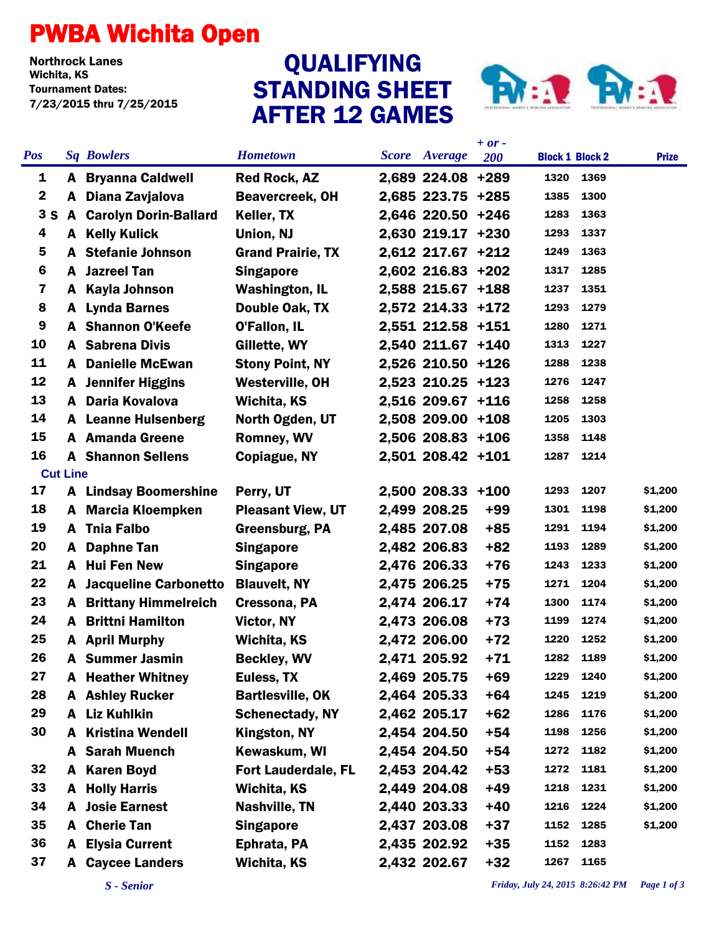## PWBA Wichita Open

Northrock Lanes Tournament Dates: 7/23/2015 thru 7/25/2015

## STANDING SHEET AFTER 12 GAMES QUALIFYING



|                  |   |                                |                            |  |                      | $+ or -$ |                        |      |              |
|------------------|---|--------------------------------|----------------------------|--|----------------------|----------|------------------------|------|--------------|
| <b>Pos</b>       |   | <b>Sq Bowlers</b>              | <b>Hometown</b>            |  | <b>Score</b> Average | 200      | <b>Block 1 Block 2</b> |      | <b>Prize</b> |
| 1                |   | <b>A</b> Bryanna Caldwell      | <b>Red Rock, AZ</b>        |  | 2,689 224.08 +289    |          | 1320                   | 1369 |              |
| $\mathbf 2$      |   | A Diana Zavjalova              | <b>Beavercreek, OH</b>     |  | 2,685 223.75 +285    |          | 1385                   | 1300 |              |
| 3S               |   | <b>A</b> Carolyn Dorin-Ballard | Keller, TX                 |  | 2,646 220.50 +246    |          | 1283                   | 1363 |              |
| 4                |   | <b>A</b> Kelly Kulick          | Union, NJ                  |  | 2,630 219.17 +230    |          | 1293                   | 1337 |              |
| 5                |   | A Stefanie Johnson             | <b>Grand Prairie, TX</b>   |  | 2,612 217.67 +212    |          | 1249                   | 1363 |              |
| 6                | A | <b>Jazreel Tan</b>             | <b>Singapore</b>           |  | 2,602 216.83 +202    |          | 1317                   | 1285 |              |
| 7                |   | A Kayla Johnson                | <b>Washington, IL</b>      |  | 2,588 215.67 +188    |          | 1237                   | 1351 |              |
| 8                |   | A Lynda Barnes                 | Double Oak, TX             |  | 2,572 214.33 +172    |          | 1293                   | 1279 |              |
| $\boldsymbol{9}$ |   | A Shannon O'Keefe              | O'Fallon, IL               |  | 2,551 212.58 +151    |          | 1280                   | 1271 |              |
| 10               |   | <b>A</b> Sabrena Divis         | Gillette, WY               |  | 2,540 211.67 +140    |          | 1313                   | 1227 |              |
| 11               | A | <b>Danielle McEwan</b>         | <b>Stony Point, NY</b>     |  | 2,526 210.50 +126    |          | 1288                   | 1238 |              |
| 12               |   | <b>A</b> Jennifer Higgins      | <b>Westerville, OH</b>     |  | 2,523 210.25 +123    |          | 1276                   | 1247 |              |
| 13               |   | A Daria Kovalova               | Wichita, KS                |  | 2,516 209.67 +116    |          | 1258                   | 1258 |              |
| 14               |   | <b>A</b> Leanne Hulsenberg     | North Ogden, UT            |  | 2,508 209.00 +108    |          | 1205                   | 1303 |              |
| 15               |   | <b>A</b> Amanda Greene         | <b>Romney, WV</b>          |  | 2,506 208.83 +106    |          | 1358                   | 1148 |              |
| 16               |   | <b>A</b> Shannon Sellens       | <b>Copiague, NY</b>        |  | 2,501 208.42 +101    |          | 1287                   | 1214 |              |
| <b>Cut Line</b>  |   |                                |                            |  |                      |          |                        |      |              |
| 17               |   | <b>A</b> Lindsay Boomershine   | Perry, UT                  |  | 2,500 208.33 +100    |          | 1293                   | 1207 | \$1,200      |
| 18               |   | A Marcia Kloempken             | <b>Pleasant View, UT</b>   |  | 2,499 208.25         | $+99$    | 1301                   | 1198 | \$1,200      |
| 19               |   | A Tnia Falbo                   | Greensburg, PA             |  | 2,485 207.08         | $+85$    | 1291                   | 1194 | \$1,200      |
| 20               | A | <b>Daphne Tan</b>              | <b>Singapore</b>           |  | 2,482 206.83         | $+82$    | 1193                   | 1289 | \$1,200      |
| 21               |   | A Hui Fen New                  | <b>Singapore</b>           |  | 2,476 206.33         | $+76$    | 1243                   | 1233 | \$1,200      |
| 22               | A | <b>Jacqueline Carbonetto</b>   | <b>Blauvelt, NY</b>        |  | 2,475 206.25         | $+75$    | 1271                   | 1204 | \$1,200      |
| 23               | A | <b>Brittany Himmelreich</b>    | Cressona, PA               |  | 2,474 206.17         | $+74$    | 1300                   | 1174 | \$1,200      |
| 24               | A | <b>Brittni Hamilton</b>        | Victor, NY                 |  | 2,473 206.08         | $+73$    | 1199                   | 1274 | \$1,200      |
| 25               | A | <b>April Murphy</b>            | Wichita, KS                |  | 2,472 206.00         | $+72$    | 1220                   | 1252 | \$1,200      |
| 26               | A | <b>Summer Jasmin</b>           | <b>Beckley, WV</b>         |  | 2,471 205.92         | $+71$    | 1282                   | 1189 | \$1,200      |
| 27               |   | <b>A</b> Heather Whitney       | Euless, TX                 |  | 2,469 205.75         | $+69$    | 1229                   | 1240 | \$1,200      |
| 28               | A | <b>Ashley Rucker</b>           | <b>Bartlesville, OK</b>    |  | 2,464 205.33         | $+64$    | 1245                   | 1219 | \$1,200      |
| 29               | A | <b>Liz Kuhlkin</b>             | <b>Schenectady, NY</b>     |  | 2,462 205.17         | $+62$    | 1286                   | 1176 | \$1,200      |
| 30               | A | <b>Kristina Wendell</b>        | Kingston, NY               |  | 2,454 204.50         | $+54$    | 1198                   | 1256 | \$1,200      |
|                  | A | <b>Sarah Muench</b>            | Kewaskum, WI               |  | 2,454 204.50         | $+54$    | 1272                   | 1182 | \$1,200      |
| 32               | A | <b>Karen Boyd</b>              | <b>Fort Lauderdale, FL</b> |  | 2,453 204.42         | $+53$    | 1272                   | 1181 | \$1,200      |
| 33               | A | <b>Holly Harris</b>            | Wichita, KS                |  | 2,449 204.08         | +49      | 1218                   | 1231 | \$1,200      |
| 34               | A | <b>Josie Earnest</b>           | <b>Nashville, TN</b>       |  | 2,440 203.33         | $+40$    | 1216                   | 1224 | \$1,200      |
| 35               | A | <b>Cherie Tan</b>              | <b>Singapore</b>           |  | 2,437 203.08         | $+37$    | 1152                   | 1285 | \$1,200      |
| 36               | A | <b>Elysia Current</b>          | Ephrata, PA                |  | 2,435 202.92         | $+35$    | 1152                   | 1283 |              |
| 37               | A | <b>Caycee Landers</b>          | Wichita, KS                |  | 2,432 202.67         | $+32$    | 1267                   | 1165 |              |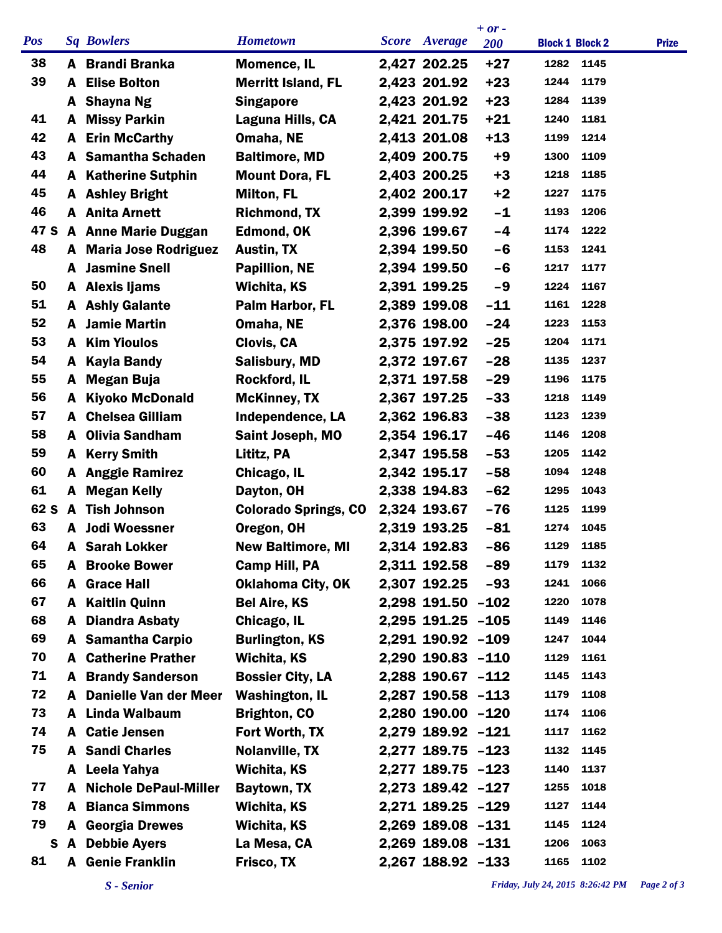|            |   |                                |                             |              |                   | $+ or -$   |                        |              |
|------------|---|--------------------------------|-----------------------------|--------------|-------------------|------------|------------------------|--------------|
| <b>Pos</b> |   | <b>Sq Bowlers</b>              | <b>Hometown</b>             | <b>Score</b> | Average           | <b>200</b> | <b>Block 1 Block 2</b> | <b>Prize</b> |
| 38         |   | A Brandi Branka                | <b>Momence, IL</b>          |              | 2,427 202.25      | $+27$      | 1282<br>1145           |              |
| 39         | A | <b>Elise Bolton</b>            | <b>Merritt Island, FL</b>   |              | 2,423 201.92      | $+23$      | 1179<br>1244           |              |
|            | A | Shayna Ng                      | <b>Singapore</b>            |              | 2,423 201.92      | $+23$      | 1139<br>1284           |              |
| 41         | A | <b>Missy Parkin</b>            | Laguna Hills, CA            |              | 2,421 201.75      | $+21$      | 1181<br>1240           |              |
| 42         | A | <b>Erin McCarthy</b>           | Omaha, NE                   |              | 2,413 201.08      | $+13$      | 1214<br>1199           |              |
| 43         |   | A Samantha Schaden             | <b>Baltimore, MD</b>        |              | 2,409 200.75      | $+9$       | 1109<br>1300           |              |
| 44         | A | <b>Katherine Sutphin</b>       | <b>Mount Dora, FL</b>       |              | 2,403 200.25      | $+3$       | 1185<br>1218           |              |
| 45         |   | <b>A</b> Ashley Bright         | <b>Milton, FL</b>           |              | 2,402 200.17      | $+2$       | 1175<br>1227           |              |
| 46         |   | A Anita Arnett                 | <b>Richmond, TX</b>         |              | 2,399 199.92      | $-1$       | 1206<br>1193           |              |
| 47 S       |   | <b>A</b> Anne Marie Duggan     | <b>Edmond, OK</b>           |              | 2,396 199.67      | $-4$       | 1222<br>1174           |              |
| 48         |   | A Maria Jose Rodriguez         | <b>Austin, TX</b>           |              | 2,394 199.50      | $-6$       | 1241<br>1153           |              |
|            | A | <b>Jasmine Snell</b>           | <b>Papillion, NE</b>        |              | 2,394 199.50      | $-6$       | 1177<br>1217           |              |
| 50         |   | A Alexis Ijams                 | Wichita, KS                 |              | 2,391 199.25      | $-9$       | 1167<br>1224           |              |
| 51         |   | <b>A</b> Ashly Galante         | Palm Harbor, FL             |              | 2,389 199.08      | $-11$      | 1228<br>1161           |              |
| 52         | A | <b>Jamie Martin</b>            | Omaha, NE                   |              | 2,376 198.00      | $-24$      | 1153<br>1223           |              |
| 53         | A | <b>Kim Yioulos</b>             | <b>Clovis, CA</b>           |              | 2,375 197.92      | $-25$      | 1204<br>1171           |              |
| 54         | A | <b>Kayla Bandy</b>             | <b>Salisbury, MD</b>        |              | 2,372 197.67      | $-28$      | 1237<br>1135           |              |
| 55         | A | Megan Buja                     | Rockford, IL                |              | 2,371 197.58      | $-29$      | 1175<br>1196           |              |
| 56         | A | <b>Kiyoko McDonald</b>         | <b>McKinney, TX</b>         |              | 2,367 197.25      | $-33$      | 1149<br>1218           |              |
| 57         | A | <b>Chelsea Gilliam</b>         | Independence, LA            |              | 2,362 196.83      | $-38$      | 1123<br>1239           |              |
| 58         | A | <b>Olivia Sandham</b>          | Saint Joseph, MO            |              | 2,354 196.17      | $-46$      | 1208<br>1146           |              |
| 59         | A | <b>Kerry Smith</b>             | Lititz, PA                  |              | 2,347 195.58      | $-53$      | 1142<br>1205           |              |
| 60         | A | <b>Anggie Ramirez</b>          | Chicago, IL                 |              | 2,342 195.17      | $-58$      | 1248<br>1094           |              |
| 61         |   | A Megan Kelly                  | Dayton, OH                  |              | 2,338 194.83      | $-62$      | 1295<br>1043           |              |
| 62 S       | A | <b>Tish Johnson</b>            | <b>Colorado Springs, CO</b> |              | 2,324 193.67      | $-76$      | 1199<br>1125           |              |
| 63         | A | <b>Jodi Woessner</b>           | Oregon, OH                  |              | 2,319 193.25      | $-81$      | 1045<br>1274           |              |
| 64         |   | <b>Sarah Lokker</b>            | <b>New Baltimore, MI</b>    |              | 2,314 192.83      | $-86$      | 1129<br>1185           |              |
| 65         |   | <b>A</b> Brooke Bower          | <b>Camp Hill, PA</b>        |              | 2,311 192.58      | $-89$      | 1132<br>1179           |              |
| 66         | A | <b>Grace Hall</b>              | <b>Oklahoma City, OK</b>    |              | 2,307 192.25      | $-93$      | 1066<br>1241           |              |
| 67         |   | A Kaitlin Quinn                | <b>Bel Aire, KS</b>         |              | 2,298 191.50 -102 |            | 1078<br>1220           |              |
| 68         | A | <b>Diandra Asbaty</b>          | Chicago, IL                 |              | 2,295 191.25 -105 |            | 1146<br>1149           |              |
| 69         |   | A Samantha Carpio              | <b>Burlington, KS</b>       |              | 2,291 190.92 -109 |            | 1044<br>1247           |              |
| 70         |   | <b>A</b> Catherine Prather     | Wichita, KS                 |              | 2,290 190.83 -110 |            | 1161<br>1129           |              |
| 71         |   | <b>A</b> Brandy Sanderson      | <b>Bossier City, LA</b>     |              | 2,288 190.67 -112 |            | 1143<br>1145           |              |
| 72         | A | Danielle Van der Meer          | <b>Washington, IL</b>       |              | 2,287 190.58 -113 |            | 1108<br>1179           |              |
| 73         |   | A Linda Walbaum                | <b>Brighton, CO</b>         |              | 2,280 190.00 -120 |            | 1106<br>1174           |              |
| 74         |   | A Catie Jensen                 | Fort Worth, TX              |              | 2,279 189.92 -121 |            | 1162<br>1117           |              |
| 75         |   | <b>A</b> Sandi Charles         | Nolanville, TX              |              | 2,277 189.75 -123 |            | 1145<br>1132           |              |
|            |   | A Leela Yahya                  | Wichita, KS                 |              | 2,277 189.75 -123 |            | 1140<br>1137           |              |
| 77         |   | <b>A</b> Nichole DePaul-Miller | Baytown, TX                 |              | 2,273 189.42 -127 |            | 1018<br>1255           |              |
| 78         | A | <b>Bianca Simmons</b>          | Wichita, KS                 |              | 2,271 189.25 -129 |            | 1127<br>1144           |              |
| 79         | A | <b>Georgia Drewes</b>          | Wichita, KS                 |              | 2,269 189.08 -131 |            | 1124<br>1145           |              |
| S          |   | A Debbie Ayers                 | La Mesa, CA                 |              | 2,269 189.08 -131 |            | 1206<br>1063           |              |
| 81         |   | <b>A</b> Genie Franklin        | Frisco, TX                  |              | 2,267 188.92 -133 |            | 1165<br>1102           |              |
|            |   |                                |                             |              |                   |            |                        |              |